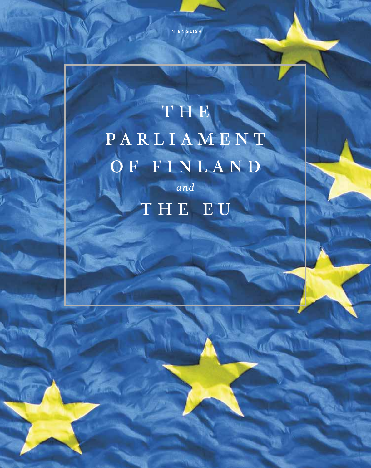in english

 $y_{\rm{p}}=4$ 

### THE PARLIAMENT OF FINLAND *and* THE EU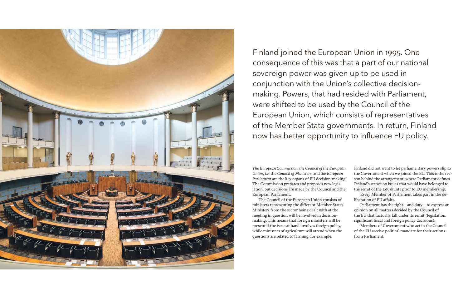

Finland joined the European Union in 1995. One consequence of this was that a part of our national sovereign power was given up to be used in conjunction with the Union's collective decisionmaking. Powers, that had resided with Parliament, were shifted to be used by the Council of the European Union, which consists of representatives of the Member State governments. In return, Finland now has better opportunity to influence EU policy.

*The European Commission, the Council of the European Union*, i.e. the *Council of Ministers*, and *the European Parliament* are the key organs of EU decision-making. The Commission prepares and proposes new legislation, but decisions are made by the Council and the European Parliament.

The Council of the European Union consists of ministers representing the different Member States. Ministers from the sector being dealt with at the meeting in question will be involved in decisionmaking. This means that foreign ministers will be present if the issue at hand involves foreign policy, while ministers of agriculture will attend when the questions are related to farming, for example.

Finland did not want to let parliamentary powers slip to the Government when we joined the EU. This is the reason behind the arrangement, where Parliament defines Finland's stance on issues that would have belonged to the remit of the Eduskunta prior to EU membership.

Every Member of Parliament takes part in the deliberation of EU affairs.

Parliament has the right—and duty—to express an opinion on all matters decided by the Council of the EU that factually fall under its remit (legislation, significant fiscal and foreign policy decisions).

Members of Government who act in the Council of the EU receive political mandate for their actions from Parliament.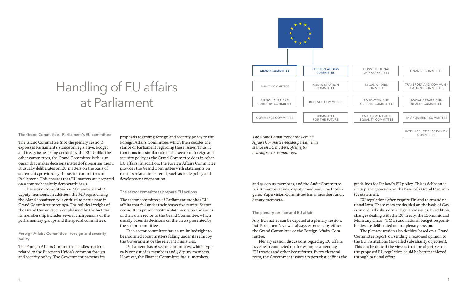

#### The Grand Committee—Parliament's EU committee

The Grand Committee (not the plenary session) expresses Parliament's stance on legislative, budget and treaty issues being decided by the EU. Unlike the other committees, the Grand Committee is thus an organ that makes decisions instead of preparing them. It usually deliberates on EU matters on the basis of statements provided by the sector committees of Parliament. This ensures that EU matters are prepared on a comprehensively democratic basis.

The Grand Committee has 25 members and 13 deputy members. In addition, the MP representing the Åland constituency is entitled to participate in Grand Committee meetings. The political weight of the Grand Committee is emphasised by the fact that its membership includes several chairpersons of the parliamentary groups and the special committees.

Foreign Affairs Committee—foreign and security policy

The Foreign Affairs Committee handles matters related to the European Union's common foreign and security policy. The Government presents its

proposals regarding foreign and security policy to the Foreign Affairs Committee, which then decides the stance of Parliament regarding these issues. Thus, it functions in a similar role in the sector of foreign and security policy as the Grand Committee does in other EU affairs. In addition, the Foreign Affairs Committee provides the Grand Committee with statements on matters related to its remit, such as trade policy and development cooperation.

#### The sector committees prepare EU actions

The sector committees of Parliament monitor EU affairs that fall under their respective remits. Sector committees present written statements on the issues of their own sector to the Grand Committee, which usually bases its decisions on the views presented by the sector committees.

Each sector committee has an unlimited right to be informed about matters falling under its remit by the Government or the relevant ministries.

Parliament has 16 sector committees, which typically consist of 17 members and 9 deputy members. However, the Finance Committee has 21 members

*The Grand Committee or the Foreign Affairs Committee decides parliament's stance on EU matters, often after hearing sector committees.*

and 19 deputy members, and the Audit Committee has 11 members and 6 deputy members. The Intelligence Supervision Committee has 11 members and 2 deputy members.

#### The plenary session and EU affairs

Any EU matter can be depated at a plenary session, but Parliament's view is always expressed by either the Grand Committee or the Foreign Affairs Committee.

Plenary session discussions regarding EU affairs have been conducted on, for example, amending EU treaties and other key reforms. Every electoral term, the Government issues a report that defines the guidelines for Finland's EU policy. This is deliberated on in plenary session on the basis of a Grand Committee statement.

EU regulations often require Finland to amend national laws. These cases are decided on the basis of Government Bills like normal legislative issues. In addition, changes dealing with the EU Treaty, the Economic and Monetary Union (EMU) and national budget responsibilities are deliberated on in a plenary session.

The plenary session also decides, based on a Grand Committee report, on sending a reasoned opinion to the EU institutions (so-called subsidiarity objection). This can be done if the view is that the objectives of the proposed EU regulation could be better achieved through national effort.

COMMITTEE

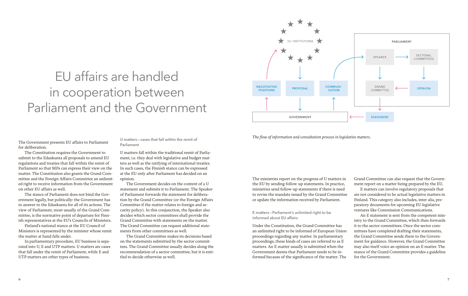## EU affairs are handled in cooperation between Parliament and the Government



*The flow of information and consultation process in legislative matters.*

The Government presents EU affairs to Parliament for deliberation.

The Constitution requires the Government to submit to the Eduskunta all proposals to amend EU regulations and treaties that fall within the remit of Parliament so that MPs can express their view on the matter. The Constitution also grants the Grand Committee and the Foreign Affairs Committee an unlimited right to receive information from the Government on other EU affairs as well.

The stance of Parliament does not bind the Government legally, but politically: the Government has to answer to the Eduskunta for all of its actions. The view of Parliament, most usually of the Grand Committee, is the normative point of departure for Finnish representatives at the EU's Councils of Ministers.

Finland's national stance at the EU Council of Ministers is represented by the minister whose remit the matter at hand falls under.

In parliamentary procedure, EU business is separated into U, E and UTP matters. U matters are cases that fall under the remit of Parliament, while E and UTP matters are other types of business.

U matters—cases that fall within the remit of Parliament

U matters fall within the traditional remit of Parliament, i.e. they deal with legislative and budget matters as well as the ratifying of international treaties. In such cases, the Finnish stance can be expressed at the EU only after Parliament has decided on an opinion.

The Government decides on the content of a U statement and submits it to Parliament. The Speaker of Parliament forwards the statement for deliberation by the Grand Committee (or the Foreign Affairs Committee if the matter relates to foreign and security policy). In this conjunction, the Speaker also decides which sector committees shall provide the Grand Committee with statements on the matter. The Grand Committee can request additional statements from other committees as well.

The Grand Committee makes its decisions based on the statements submitted by the sector committees. The Grand Committee usually decides along the recommendation of a sector committee, but it is entitled to decide otherwise as well.

The ministries report on the progress of U matters in the EU by sending follow-up statements. In practice, ministries send follow-up statements if there is need to revise the mandate issued by the Grand Committee or update the information received by Parliament.

E matters—Parliament's unlimited right to be informed about EU affairs

Under the Constitution, the Grand Committee has an unlimited right to be informed of European Union proceedings regarding any matter. In parliamentary proceedings, these kinds of cases are referred to as E matters. An E matter usually is submitted when the Government deems that Parliament needs to be informed because of the significance of the matter. The

Grand Committee can also request that the Government report on a matter being prepared by the EU.

E matters can involve regulatory proposals that are not considered to be actual legislative matters in Finland. This category also includes, inter alia, preparatory documents for upcoming EU legislative ventures like Commission Communications.

An E statement is sent from the competent ministry to the Grand Committee, which then forwards it to the sector committees. Once the sector committees have completed drafting their statements, the Grand Committee sends them to the Government for guidance. However, the Grand Committee may also itself voice an opinion on an E matter. The stance of the Grand Committee provides a guideline for the Government.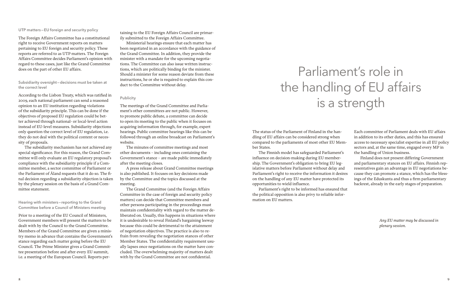### UTP matters—EU foreign and security policy

The Foreign Affairs Committee has a constitutional right to receive Government reports on matters pertaining to EU foreign and security policy. These reports are referred to as UTP matters. The Foreign Affairs Committee decides Parliament's opinion with regard to these cases, just like the Grand Committee does on the part of other EU affairs.

Subsidiarity oversight—decisions must be taken at the correct level

According to the Lisbon Treaty, which was ratified in 2009, each national parliament can send a reasoned opinion to an EU institution regarding violations of the subsidiarity principle. This can be done if the objectives of proposed EU regulation could be better achieved through national- or local-level action instead of EU-level measures. Subsidiarity objections only question the correct level of EU regulation, i.e. they do not deal with the political content or necessity of proposals.

The subsidiarity mechanism has not achieved any special significance. For this reason, the Grand Committee will only evaluate an EU regulatory proposal's compliance with the subsidiarity principle if a Committee member, a sector committee of Parliament or the Parliament of Åland requests that it do so. The final decision regarding a subsidiarity objection is taken by the plenary session on the basis of a Grand Committee statement.

Hearing with ministers—reporting to the Grand Committee before a Council of Ministers meeting

Prior to a meeting of the EU Council of Ministers, Government members will present the matters to be dealt with by the Council to the Grand Committee. Members of the Grand Committee are given a ministry memo in advance that contains the Government's stance regarding each matter going before the EU Council. The Prime Minister gives a Grand Committee presentation before and after every EU summit, i.e. a meeting of the European Council. Reports per-

taining to the EU Foreign Affairs Council are primarily submitted to the Foreign Affairs Committee.

Ministerial hearings ensure that each matter has been negotiated in an accordance with the guidance of the Grand Committee. In addition, they provide the minister with a mandate for the upcoming negotiations. The Committee can also issue written instructions, which are politically binding for the minister. Should a minister for some reason deviate from these instructions, he or she is required to explain this conduct to the Committee without delay.

#### Publicity

The meetings of the Grand Committee and Parliament's other committees are not public. However, to promote public debate, a committee can decide to open its meeting to the public when it focuses on acquiring information through, for example, expert hearings. Public committee hearings like this can be followed through an online broadcast on Parliament's website.

The minutes of committee meetings and most other documents – including ones containing the Government's stance – are made public immediately after the meeting closes.

A press release about Grand Committee meetings is also published. It focuses on key decisions made by the Committee and the topics discussed at the meeting.

The Grand Committee (and the Foreign Affairs Committee in the case of foreign and security policy matters) can decide that Committee members and other persons participating in the proceedings must maintain confidentiality with regard to the matter deliberated on. Usually, this happens in situations where it is undesirable to reveal Finland's bargaining leeway because this could be detrimental to the attainment of negotiation objectives. The practice is also to refrain from revealing the negotiation stances of other Member States. The confidentiality requirement usually lapses once negotiations on the matter have concluded. The overwhelming majority of matters dealt with by the Grand Committee are not confidential.

## Parliament's role in the handling of EU affairs is a strength

The status of the Parliament of Finland in the handling of EU affairs can be considered strong when compared to the parliaments of most other EU Member States.

The Finnish model has safeguarded Parliament's influence on decision-making during EU membership. The Government's obligation to bring EU legislative matters before Parliament without delay and Parliament's right to receive the information it desires on the handling of any EU matter have protected its opportunities to wield influence.

Parliament's right to be informed has ensured that the political opposition is also privy to reliable information on EU matters.

Each committee of Parliament deals with EU affairs in addition to its other duties, and this has ensured access to necessary specialist expertise in all EU policy sectors and, at the same time, engaged every MP in the handling of Union business.

Finland does not present differing Government and parliamentary stances on EU affairs. Finnish representatives gain an advantage in EU negotiations because they can promote a stance, which has the blessings of the Eduskunta and thus a firm parliamentary backrest, already in the early stages of preparation.

> *Any EU matter may be discussed in plenary session.*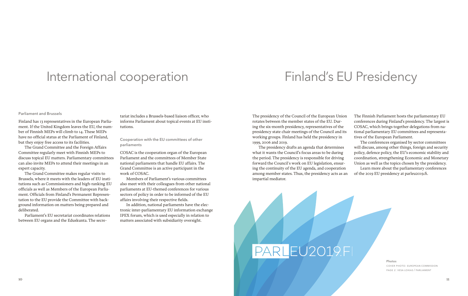### International cooperation

### Finland's EU Presidency

### Parliament and Brussels

Finland has 13 representatives in the European Parliament. If the United Kingdom leaves the EU, the number of Finnish MEPs will climb to 14. These MEPs have no official status at the Parliament of Finland, but they enjoy free access to its facilities.

The Grand Committee and the Foreign Affairs Committee regularly meet with Finnish MEPs to discuss topical EU matters. Parliamentary committees can also invite MEPs to attend their meetings in an expert capacity.

The Grand Committee makes regular visits to Brussels, where it meets with the leaders of EU institutions such as Commissioners and high-ranking EU officials as well as Members of the European Parliament. Officials from Finland's Permanent Representation to the EU provide the Committee with background information on matters being prepared and deliberated.

Parliament's EU secretariat coordinates relations between EU organs and the Eduskunta. The secre-

tariat includes a Brussels-based liaison officer, who informs Parliament about topical events at EU institutions.

### Cooperation with the EU committees of other parliaments

COSAC is the cooperation organ of the European Parliament and the committees of Member State national parliaments that handle EU affairs. The Grand Committee is an active participant in the work of COSAC.

Members of Parliament's various committees also meet with their colleagues from other national parliaments at EU-themed conferences for various sectors of policy in order to be informed of the EU affairs involving their respective fields.

In addition, national parliaments have the electronic inter-parliamentary EU information exchange IPEX forum, which is used especially in relation to matters associated with subsidiarity oversight.

The presidency of the Council of the European Union rotates between the member states of the EU. During the six-month presidency, representatives of the presidency state chair meetings of the Council and its working groups. Finland has held the presidency in 1999, 2006 and 2019.

The presidency drafts an agenda that determines what it wants the Council's focus areas to be during the period. The presidency is responsible for driving forward the Council's work on EU legislation, ensuring the continuity of the EU agenda, and cooperation among member states. Thus, the presidency acts as an impartial mediator.

The Finnish Parliament hosts the parliamentary EU conferences during Finland's presidency. The largest is COSAC, which brings together delegations from national parliamentary EU committees and representatives of the European Parliament.

The conferences organised by sector committees will discuss, among other things, foreign and security policy, defence policy, the EU's economic stability and coordination, strengthening Economic and Monetary Union as well as the topics chosen by the presidency.

Learn more about the parliamentary conferences of the 2019 EU presidency at parleu2019.fi.

# PARLEU2019.FI

Photos cover photo: european commission page 2: vesa loikas / parliament